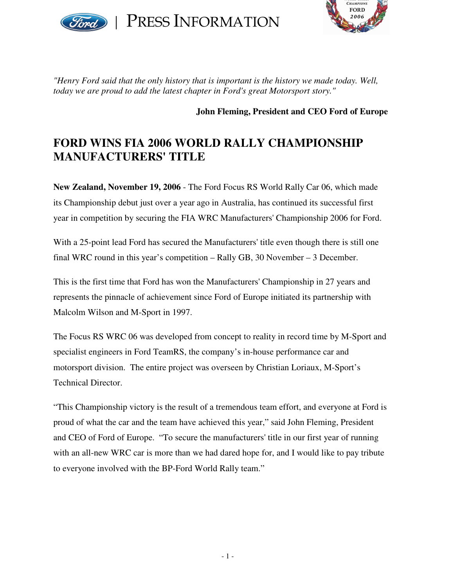

PRESS INFORMATION



*"Henry Ford said that the only history that is important is the history we made today. Well, today we are proud to add the latest chapter in Ford's great Motorsport story."*

**John Fleming, President and CEO Ford of Europe**

## **FORD WINS FIA 2006 WORLD RALLY CHAMPIONSHIP MANUFACTURERS' TITLE**

**New Zealand, November 19, 2006** - The Ford Focus RS World Rally Car 06, which made its Championship debut just over a year ago in Australia, has continued its successful first year in competition by securing the FIA WRC Manufacturers' Championship 2006 for Ford.

With a 25-point lead Ford has secured the Manufacturers' title even though there is still one final WRC round in this year's competition – Rally GB, 30 November – 3 December.

This is the first time that Ford has won the Manufacturers' Championship in 27 years and represents the pinnacle of achievement since Ford of Europe initiated its partnership with Malcolm Wilson and M-Sport in 1997.

The Focus RS WRC 06 was developed from concept to reality in record time by M-Sport and specialist engineers in Ford TeamRS, the company's in-house performance car and motorsport division. The entire project was overseen by Christian Loriaux, M-Sport's Technical Director.

"This Championship victory is the result of a tremendous team effort, and everyone at Ford is proud of what the car and the team have achieved this year," said John Fleming, President and CEO of Ford of Europe. "To secure the manufacturers' title in our first year of running with an all-new WRC car is more than we had dared hope for, and I would like to pay tribute to everyone involved with the BP-Ford World Rally team."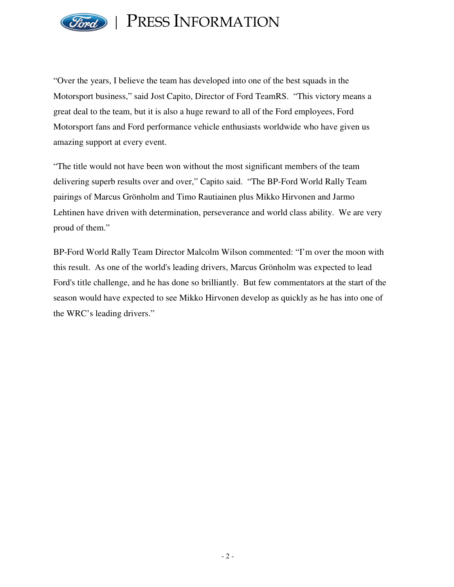

PRESS INFORMATION

"Over the years, I believe the team has developed into one of the best squads in the Motorsport business," said Jost Capito, Director of Ford TeamRS. "This victory means a great deal to the team, but it is also a huge reward to all of the Ford employees, Ford Motorsport fans and Ford performance vehicle enthusiasts worldwide who have given us amazing support at every event.

"The title would not have been won without the most significant members of the team delivering superb results over and over," Capito said. "The BP-Ford World Rally Team pairings of Marcus Grönholm and Timo Rautiainen plus Mikko Hirvonen and Jarmo Lehtinen have driven with determination, perseverance and world class ability. We are very proud of them."

BP-Ford World Rally Team Director Malcolm Wilson commented: "I'm over the moon with this result. As one of the world's leading drivers, Marcus Grönholm was expected to lead Ford's title challenge, and he has done so brilliantly. But few commentators at the start of the season would have expected to see Mikko Hirvonen develop as quickly as he has into one of the WRC's leading drivers."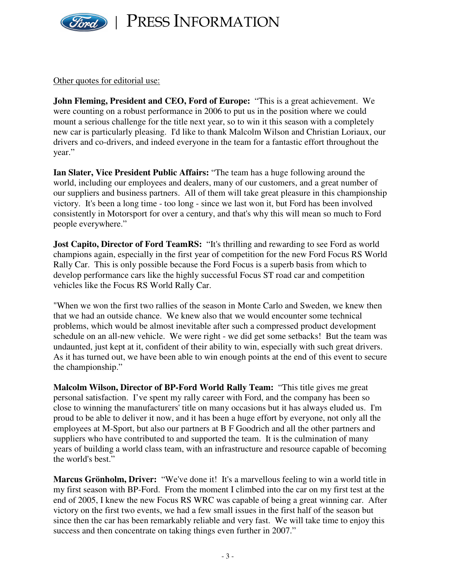

PRESS INFORMATION

Other quotes for editorial use:

**John Fleming, President and CEO, Ford of Europe:** "This is a great achievement. We were counting on a robust performance in 2006 to put us in the position where we could mount a serious challenge for the title next year, so to win it this season with a completely new car is particularly pleasing. I'd like to thank Malcolm Wilson and Christian Loriaux, our drivers and co-drivers, and indeed everyone in the team for a fantastic effort throughout the year."

**Ian Slater, Vice President Public Affairs:** "The team has a huge following around the world, including our employees and dealers, many of our customers, and a great number of our suppliers and business partners. All of them will take great pleasure in this championship victory. It's been a long time - too long - since we last won it, but Ford has been involved consistently in Motorsport for over a century, and that's why this will mean so much to Ford people everywhere."

**Jost Capito, Director of Ford TeamRS:** "It's thrilling and rewarding to see Ford as world champions again, especially in the first year of competition for the new Ford Focus RS World Rally Car. This is only possible because the Ford Focus is a superb basis from which to develop performance cars like the highly successful Focus ST road car and competition vehicles like the Focus RS World Rally Car.

"When we won the first two rallies of the season in Monte Carlo and Sweden, we knew then that we had an outside chance. We knew also that we would encounter some technical problems, which would be almost inevitable after such a compressed product development schedule on an all-new vehicle. We were right - we did get some setbacks! But the team was undaunted, just kept at it, confident of their ability to win, especially with such great drivers. As it has turned out, we have been able to win enough points at the end of this event to secure the championship."

**Malcolm Wilson, Director of BP-Ford World Rally Team:** "This title gives me great personal satisfaction. I've spent my rally career with Ford, and the company has been so close to winning the manufacturers' title on many occasions but it has always eluded us. I'm proud to be able to deliver it now, and it has been a huge effort by everyone, not only all the employees at M-Sport, but also our partners at B F Goodrich and all the other partners and suppliers who have contributed to and supported the team. It is the culmination of many years of building a world class team, with an infrastructure and resource capable of becoming the world's best."

**Marcus Grönholm, Driver:** "We've done it! It's a marvellous feeling to win a world title in my first season with BP-Ford. From the moment I climbed into the car on my first test at the end of 2005, I knew the new Focus RS WRC was capable of being a great winning car. After victory on the first two events, we had a few small issues in the first half of the season but since then the car has been remarkably reliable and very fast. We will take time to enjoy this success and then concentrate on taking things even further in 2007."